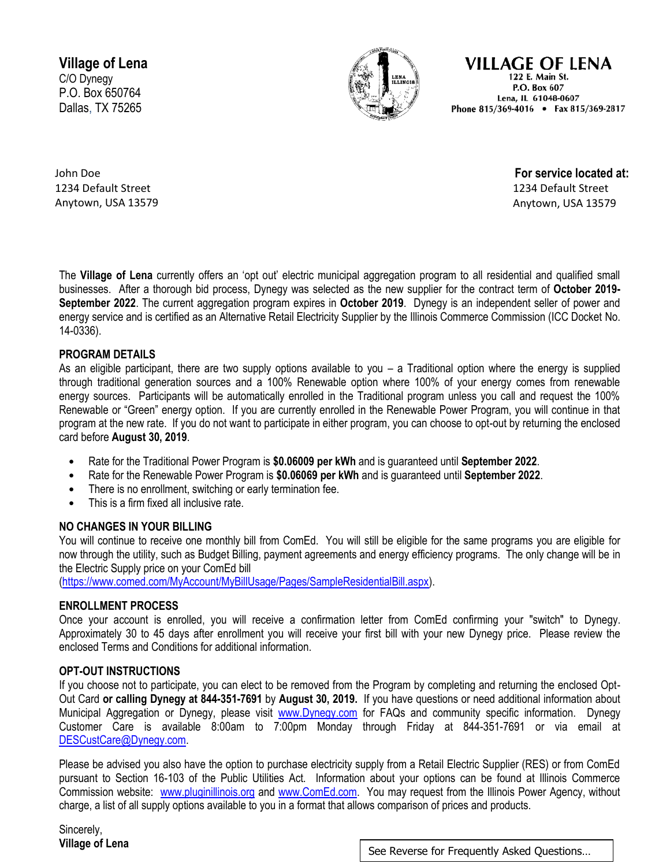**Village of Lena** C/O Dynegy P.O. Box 650764 Dallas, TX 75265



**VILLAGE OF LENA** 122 E. Main St. P.O. Box 607 Lena, IL 61048-0607 Phone 815/369-4016 • Fax 815/369-2817

John Doe 1234 Default Street Anytown, USA 13579

**For service located at:**  1234 Default Street Anytown, USA 13579

The **Village of Lena** currently offers an 'opt out' electric municipal aggregation program to all residential and qualified small businesses. After a thorough bid process, Dynegy was selected as the new supplier for the contract term of **October 2019- September 2022**. The current aggregation program expires in **October 2019**. Dynegy is an independent seller of power and energy service and is certified as an Alternative Retail Electricity Supplier by the Illinois Commerce Commission (ICC Docket No. 14-0336).

# **PROGRAM DETAILS**

As an eligible participant, there are two supply options available to you – a Traditional option where the energy is supplied through traditional generation sources and a 100% Renewable option where 100% of your energy comes from renewable energy sources. Participants will be automatically enrolled in the Traditional program unless you call and request the 100% Renewable or "Green" energy option. If you are currently enrolled in the Renewable Power Program, you will continue in that program at the new rate. If you do not want to participate in either program, you can choose to opt-out by returning the enclosed card before **August 30, 2019**.

- Rate for the Traditional Power Program is **\$0.06009 per kWh** and is guaranteed until **September 2022**.
- Rate for the Renewable Power Program is **\$0.06069 per kWh** and is guaranteed until **September 2022**.
- There is no enrollment, switching or early termination fee.
- This is a firm fixed all inclusive rate.

# **NO CHANGES IN YOUR BILLING**

You will continue to receive one monthly bill from ComEd. You will still be eligible for the same programs you are eligible for now through the utility, such as Budget Billing, payment agreements and energy efficiency programs. The only change will be in the Electric Supply price on your ComEd bill

[\(https://www.comed.com/MyAccount/MyBillUsage/Pages/SampleResidentialBill.aspx\)](https://www.comed.com/MyAccount/MyBillUsage/Pages/SampleResidentialBill.aspx).

# **ENROLLMENT PROCESS**

Once your account is enrolled, you will receive a confirmation letter from ComEd confirming your "switch" to Dynegy. Approximately 30 to 45 days after enrollment you will receive your first bill with your new Dynegy price. Please review the enclosed Terms and Conditions for additional information.

# **OPT-OUT INSTRUCTIONS**

If you choose not to participate, you can elect to be removed from the Program by completing and returning the enclosed Opt-Out Card **or calling Dynegy at 844-351-7691** by **August 30, 2019.** If you have questions or need additional information about Municipal Aggregation or Dynegy, please visit [www.Dynegy.com](http://www.dynegyenergyservices.com/) for FAQs and community specific information. Dynegy Customer Care is available 8:00am to 7:00pm Monday through Friday at 844-351-7691 or via email at [DESCustCare@Dynegy.com.](mailto:DESCustCare@Dynegy.com)

Please be advised you also have the option to purchase electricity supply from a Retail Electric Supplier (RES) or from ComEd pursuant to Section 16-103 of the Public Utilities Act. Information about your options can be found at Illinois Commerce Commission website: [www.pluginillinois.org](http://www.pluginillinois.org/) and [www.ComEd.com.](http://www.comed.com/) You may request from the Illinois Power Agency, without charge, a list of all supply options available to you in a format that allows comparison of prices and products.

Sincerely,

**Village of Lena** See Reverse for Frequently Asked Questions...